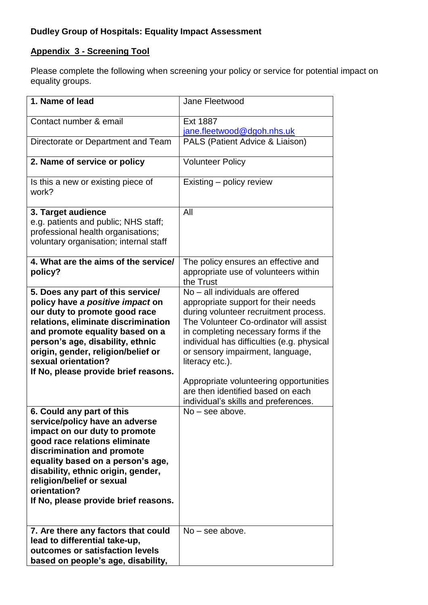# **Appendix 3 - Screening Tool**

Please complete the following when screening your policy or service for potential impact on equality groups.

| 1. Name of lead                                                                                                                                                                                                                                                                                                             | Jane Fleetwood                                                                                                                                                                                                                                                                                                                                                                                                                 |
|-----------------------------------------------------------------------------------------------------------------------------------------------------------------------------------------------------------------------------------------------------------------------------------------------------------------------------|--------------------------------------------------------------------------------------------------------------------------------------------------------------------------------------------------------------------------------------------------------------------------------------------------------------------------------------------------------------------------------------------------------------------------------|
| Contact number & email                                                                                                                                                                                                                                                                                                      | <b>Ext 1887</b><br>jane.fleetwood@dgoh.nhs.uk                                                                                                                                                                                                                                                                                                                                                                                  |
| Directorate or Department and Team                                                                                                                                                                                                                                                                                          | PALS (Patient Advice & Liaison)                                                                                                                                                                                                                                                                                                                                                                                                |
| 2. Name of service or policy                                                                                                                                                                                                                                                                                                | <b>Volunteer Policy</b>                                                                                                                                                                                                                                                                                                                                                                                                        |
| Is this a new or existing piece of<br>work?                                                                                                                                                                                                                                                                                 | Existing – policy review                                                                                                                                                                                                                                                                                                                                                                                                       |
| 3. Target audience<br>e.g. patients and public; NHS staff;<br>professional health organisations;<br>voluntary organisation; internal staff                                                                                                                                                                                  | All                                                                                                                                                                                                                                                                                                                                                                                                                            |
| 4. What are the aims of the service/<br>policy?                                                                                                                                                                                                                                                                             | The policy ensures an effective and<br>appropriate use of volunteers within<br>the Trust                                                                                                                                                                                                                                                                                                                                       |
| 5. Does any part of this service/<br>policy have a positive impact on<br>our duty to promote good race<br>relations, eliminate discrimination<br>and promote equality based on a<br>person's age, disability, ethnic<br>origin, gender, religion/belief or<br>sexual orientation?<br>If No, please provide brief reasons.   | No - all individuals are offered<br>appropriate support for their needs<br>during volunteer recruitment process.<br>The Volunteer Co-ordinator will assist<br>in completing necessary forms if the<br>individual has difficulties (e.g. physical<br>or sensory impairment, language,<br>literacy etc.).<br>Appropriate volunteering opportunities<br>are then identified based on each<br>individual's skills and preferences. |
| 6. Could any part of this<br>service/policy have an adverse<br>impact on our duty to promote<br>good race relations eliminate<br>discrimination and promote<br>equality based on a person's age,<br>disability, ethnic origin, gender,<br>religion/belief or sexual<br>orientation?<br>If No, please provide brief reasons. | $No - see above.$                                                                                                                                                                                                                                                                                                                                                                                                              |
| 7. Are there any factors that could<br>lead to differential take-up,<br>outcomes or satisfaction levels<br>based on people's age, disability,                                                                                                                                                                               | $No - see above.$                                                                                                                                                                                                                                                                                                                                                                                                              |